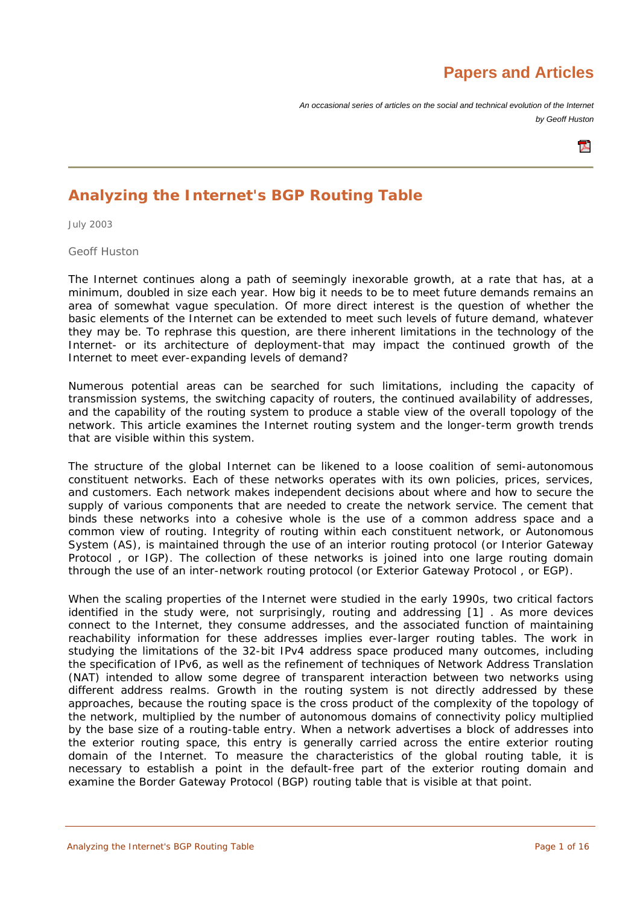# **Papers and Articles**

*An occasional series of articles on the social and technical evolution of the Internet by Geoff Huston* 



# **Analyzing the Internet's BGP Routing Table**

July 2003

Geoff Huston

The Internet continues along a path of seemingly inexorable growth, at a rate that has, at a minimum, doubled in size each year. How big it needs to be to meet future demands remains an area of somewhat vague speculation. Of more direct interest is the question of whether the basic elements of the Internet can be extended to meet such levels of future demand, whatever they may be. To rephrase this question, are there inherent limitations in the technology of the Internet- or its architecture of deployment-that may impact the continued growth of the Internet to meet ever-expanding levels of demand?

Numerous potential areas can be searched for such limitations, including the capacity of transmission systems, the switching capacity of routers, the continued availability of addresses, and the capability of the routing system to produce a stable view of the overall topology of the network. This article examines the Internet routing system and the longer-term growth trends that are visible within this system.

The structure of the global Internet can be likened to a loose coalition of semi-autonomous constituent networks. Each of these networks operates with its own policies, prices, services, and customers. Each network makes independent decisions about where and how to secure the supply of various components that are needed to create the network service. The cement that binds these networks into a cohesive whole is the use of a common address space and a common view of routing. Integrity of routing within each constituent network, or *Autonomous System* (AS), is maintained through the use of an interior routing protocol (or *Interior Gateway Protocol* , or IGP). The collection of these networks is joined into one large routing domain through the use of an inter-network routing protocol (or *Exterior Gateway Protocol* , or EGP).

When the scaling properties of the Internet were studied in the early 1990s, two critical factors identified in the study were, not surprisingly, routing and addressing [1] . As more devices connect to the Internet, they consume addresses, and the associated function of maintaining reachability information for these addresses implies ever-larger routing tables. The work in studying the limitations of the 32-bit IPv4 address space produced many outcomes, including the specification of IPv6, as well as the refinement of techniques of *Network Address Translation* (NAT) intended to allow some degree of transparent interaction between two networks using different address realms. Growth in the routing system is not directly addressed by these approaches, because the routing space is the cross product of the complexity of the topology of the network, multiplied by the number of autonomous domains of connectivity policy multiplied by the base size of a routing-table entry. When a network advertises a block of addresses into the exterior routing space, this entry is generally carried across the entire exterior routing domain of the Internet. To measure the characteristics of the global routing table, it is necessary to establish a point in the default-free part of the exterior routing domain and examine the *Border Gateway Protocol* (BGP) routing table that is visible at that point.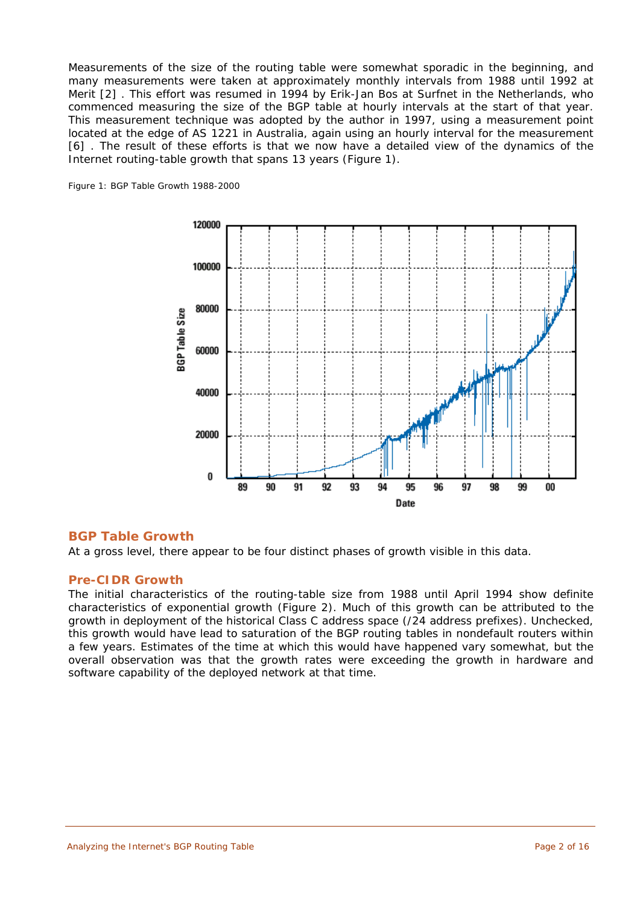Measurements of the size of the routing table were somewhat sporadic in the beginning, and many measurements were taken at approximately monthly intervals from 1988 until 1992 at Merit [2] . This effort was resumed in 1994 by Erik-Jan Bos at Surfnet in the Netherlands, who commenced measuring the size of the BGP table at hourly intervals at the start of that year. This measurement technique was adopted by the author in 1997, using a measurement point located at the edge of AS 1221 in Australia, again using an hourly interval for the measurement [6] . The result of these efforts is that we now have a detailed view of the dynamics of the Internet routing-table growth that spans 13 years (Figure 1).

*Figure 1: BGP Table Growth 1988-2000*



# **BGP Table Growth**

At a gross level, there appear to be four distinct phases of growth visible in this data.

## **Pre-CIDR Growth**

The initial characteristics of the routing-table size from 1988 until April 1994 show definite characteristics of exponential growth (Figure 2). Much of this growth can be attributed to the growth in deployment of the historical Class C address space (/24 address prefixes). Unchecked, this growth would have lead to saturation of the BGP routing tables in nondefault routers within a few years. Estimates of the time at which this would have happened vary somewhat, but the overall observation was that the growth rates were exceeding the growth in hardware and software capability of the deployed network at that time.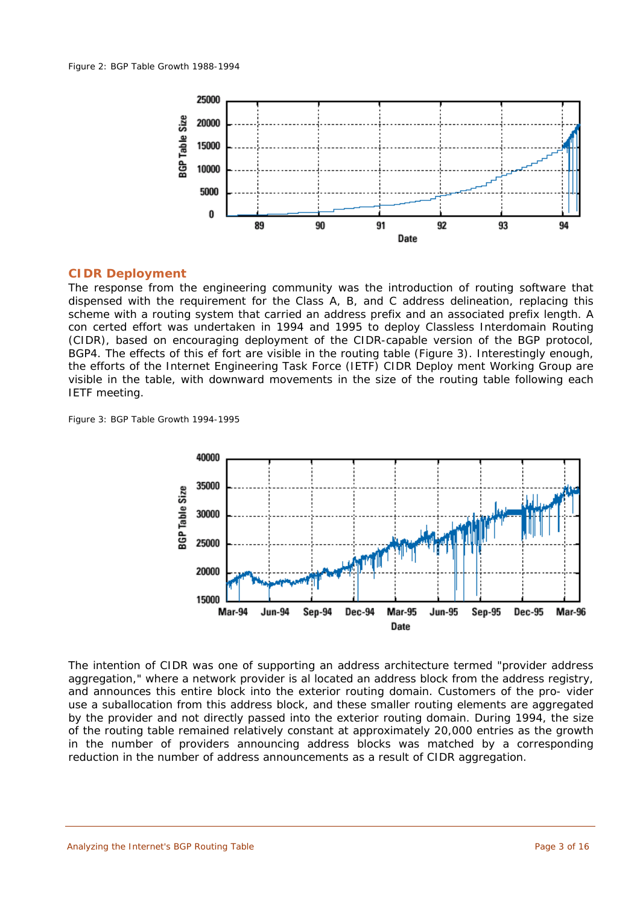

#### **CIDR Deployment**

The response from the engineering community was the introduction of routing software that dispensed with the requirement for the Class A, B, and C address delineation, replacing this scheme with a routing system that carried an address prefix and an associated prefix length. A con certed effort was undertaken in 1994 and 1995 to deploy *Classless Interdomain Routing* (CIDR), based on encouraging deployment of the CIDR-capable version of the BGP protocol, BGP4. The effects of this ef fort are visible in the routing table (Figure 3). Interestingly enough, the efforts of the *Internet Engineering Task Force* (IETF) CIDR Deploy ment Working Group are visible in the table, with downward movements in the size of the routing table following each IETF meeting.

*Figure 3: BGP Table Growth 1994-1995*



The intention of CIDR was one of supporting an address architecture termed "provider address aggregation," where a network provider is al located an address block from the address registry, and announces this entire block into the exterior routing domain. Customers of the pro- vider use a suballocation from this address block, and these smaller routing elements are aggregated by the provider and not directly passed into the exterior routing domain. During 1994, the size of the routing table remained relatively constant at approximately 20,000 entries as the growth in the number of providers announcing address blocks was matched by a corresponding reduction in the number of address announcements as a result of CIDR aggregation.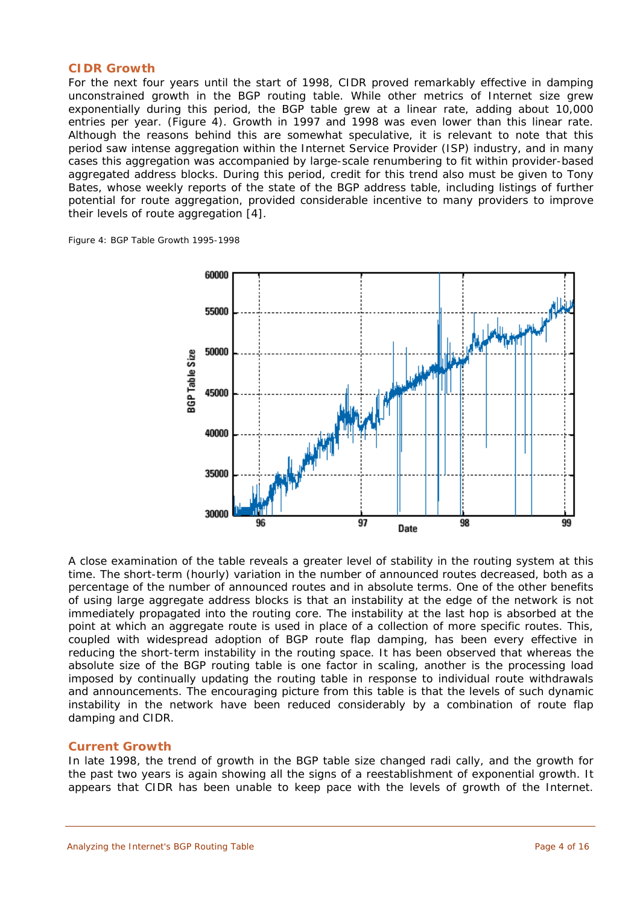#### **CIDR Growth**

For the next four years until the start of 1998, CIDR proved remarkably effective in damping unconstrained growth in the BGP routing table. While other metrics of Internet size grew exponentially during this period, the BGP table grew at a linear rate, adding about 10,000 entries per year. (Figure 4). Growth in 1997 and 1998 was even lower than this linear rate. Although the reasons behind this are somewhat speculative, it is relevant to note that this period saw intense aggregation within the *Internet Service Provider* (ISP) industry, and in many cases this aggregation was accompanied by large-scale renumbering to fit within provider-based aggregated address blocks. During this period, credit for this trend also must be given to Tony Bates, whose weekly reports of the state of the BGP address table, including listings of further potential for route aggregation, provided considerable incentive to many providers to improve their levels of route aggregation [4].

*Figure 4: BGP Table Growth 1995-1998*



A close examination of the table reveals a greater level of stability in the routing system at this time. The short-term (hourly) variation in the number of announced routes decreased, both as a percentage of the number of announced routes and in absolute terms. One of the other benefits of using large aggregate address blocks is that an instability at the edge of the network is not immediately propagated into the routing core. The instability at the last hop is absorbed at the point at which an aggregate route is used in place of a collection of more specific routes. This, coupled with widespread adoption of BGP route flap damping, has been every effective in reducing the short-term instability in the routing space. It has been observed that whereas the absolute size of the BGP routing table is one factor in scaling, another is the processing load imposed by continually updating the routing table in response to individual route withdrawals and announcements. The encouraging picture from this table is that the levels of such dynamic instability in the network have been reduced considerably by a combination of route flap damping and CIDR.

## **Current Growth**

In late 1998, the trend of growth in the BGP table size changed radi cally, and the growth for the past two years is again showing all the signs of a reestablishment of exponential growth. It appears that CIDR has been unable to keep pace with the levels of growth of the Internet.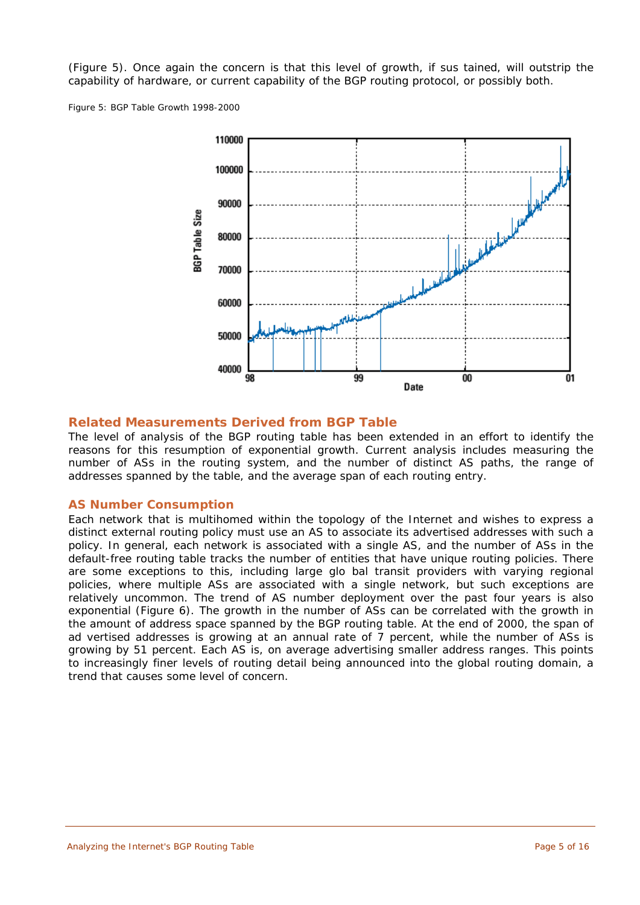(Figure 5). Once again the concern is that this level of growth, if sus tained, will outstrip the capability of hardware, or current capability of the BGP routing protocol, or possibly both.

*Figure 5: BGP Table Growth 1998-2000*



# **Related Measurements Derived from BGP Table**

The level of analysis of the BGP routing table has been extended in an effort to identify the reasons for this resumption of exponential growth. Current analysis includes measuring the number of ASs in the routing system, and the number of distinct AS paths, the range of addresses spanned by the table, and the average span of each routing entry.

## **AS Number Consumption**

Each network that is multihomed within the topology of the Internet and wishes to express a distinct external routing policy must use an AS to associate its advertised addresses with such a policy. In general, each network is associated with a single AS, and the number of ASs in the default-free routing table tracks the number of entities that have unique routing policies. There are some exceptions to this, including large glo bal transit providers with varying regional policies, where multiple ASs are associated with a single network, but such exceptions are relatively uncommon. The trend of AS number deployment over the past four years is also exponential (Figure 6). The growth in the number of ASs can be correlated with the growth in the amount of address space spanned by the BGP routing table. At the end of 2000, the span of ad vertised addresses is growing at an annual rate of 7 percent, while the number of ASs is growing by 51 percent. Each AS is, on average advertising smaller address ranges. This points to increasingly finer levels of routing detail being announced into the global routing domain, a trend that causes some level of concern.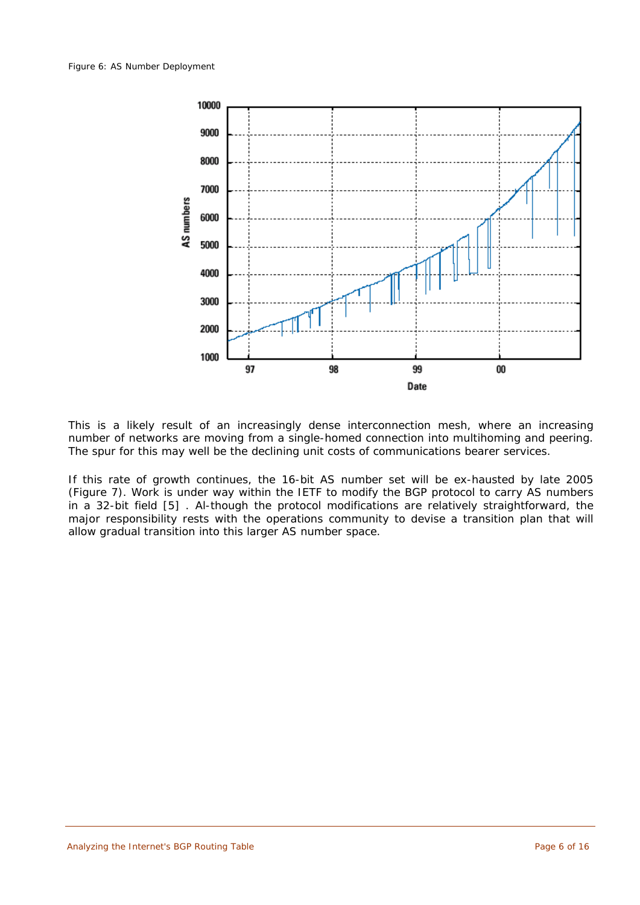

This is a likely result of an increasingly dense interconnection mesh, where an increasing number of networks are moving from a single-homed connection into multihoming and peering. The spur for this may well be the declining unit costs of communications bearer services.

If this rate of growth continues, the 16-bit AS number set will be ex-hausted by late 2005 (Figure 7). Work is under way within the IETF to modify the BGP protocol to carry AS numbers in a 32-bit field [5] . Al-though the protocol modifications are relatively straightforward, the major responsibility rests with the operations community to devise a transition plan that will allow gradual transition into this larger AS number space.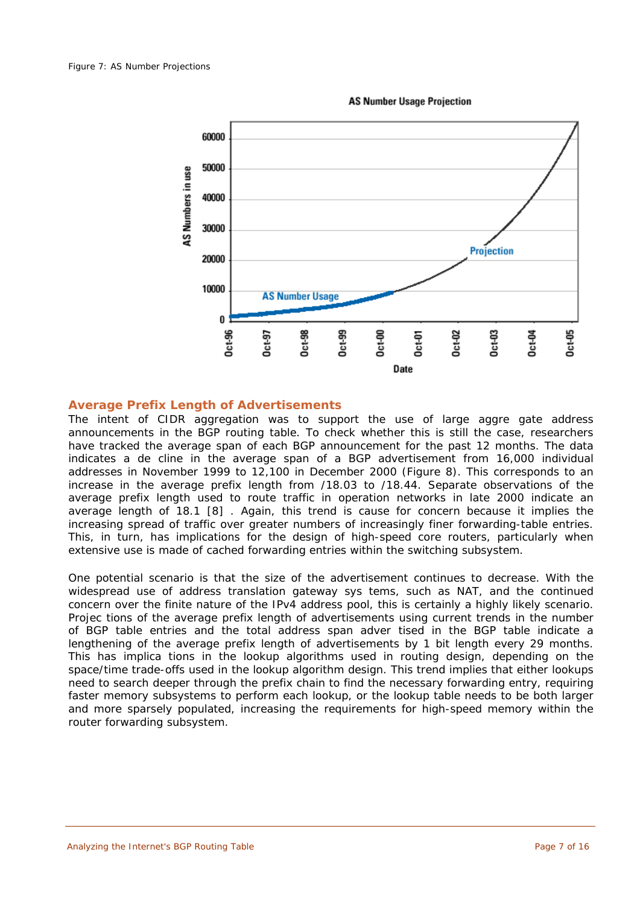

**AS Number Usage Projection** 

# **Average Prefix Length of Advertisements**

The intent of CIDR aggregation was to support the use of large aggre gate address announcements in the BGP routing table. To check whether this is still the case, researchers have tracked the average span of each BGP announcement for the past 12 months. The data indicates a de cline in the average span of a BGP advertisement from 16,000 individual addresses in November 1999 to 12,100 in December 2000 (Figure 8). This corresponds to an increase in the average prefix length from /18.03 to /18.44. Separate observations of the average prefix length used to route traffic in operation networks in late 2000 indicate an average length of 18.1 [8] . Again, this trend is cause for concern because it implies the increasing spread of traffic over greater numbers of increasingly finer forwarding-table entries. This, in turn, has implications for the design of high-speed core routers, particularly when extensive use is made of cached forwarding entries within the switching subsystem.

One potential scenario is that the size of the advertisement continues to decrease. With the widespread use of address translation gateway sys tems, such as NAT, and the continued concern over the finite nature of the IPv4 address pool, this is certainly a highly likely scenario. Projec tions of the average prefix length of advertisements using current trends in the number of BGP table entries and the total address span adver tised in the BGP table indicate a lengthening of the average prefix length of advertisements by 1 bit length every 29 months. This has implica tions in the lookup algorithms used in routing design, depending on the space/time trade-offs used in the lookup algorithm design. This trend implies that either lookups need to search deeper through the prefix chain to find the necessary forwarding entry, requiring faster memory subsystems to perform each lookup, or the lookup table needs to be both larger and more sparsely populated, increasing the requirements for high-speed memory within the router forwarding subsystem.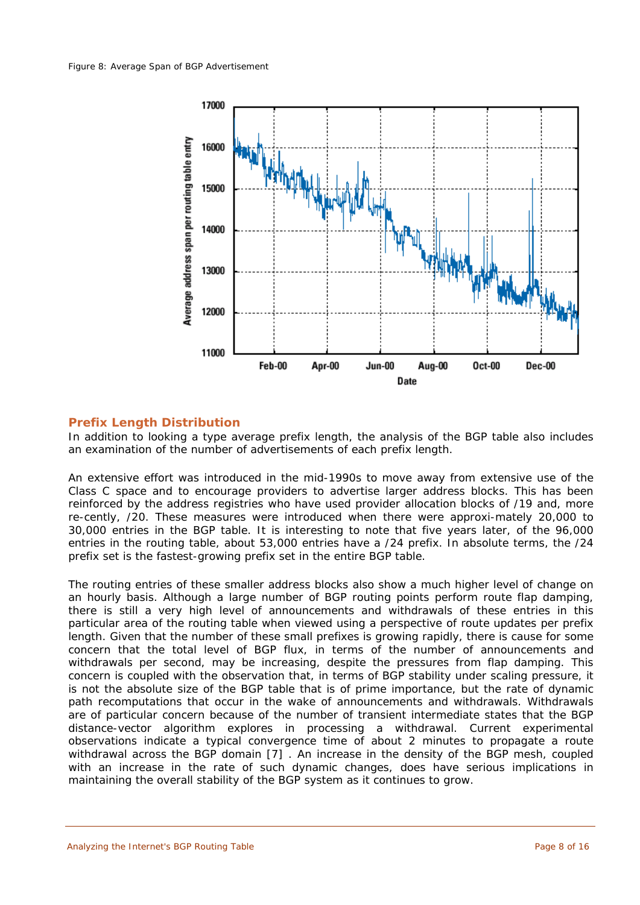

# **Prefix Length Distribution**

In addition to looking a type average prefix length, the analysis of the BGP table also includes an examination of the number of advertisements of each prefix length.

An extensive effort was introduced in the mid-1990s to move away from extensive use of the Class C space and to encourage providers to advertise larger address blocks. This has been reinforced by the address registries who have used provider allocation blocks of /19 and, more re-cently, /20. These measures were introduced when there were approxi-mately 20,000 to 30,000 entries in the BGP table. It is interesting to note that five years later, of the 96,000 entries in the routing table, about 53,000 entries have a /24 prefix. In absolute terms, the /24 prefix set is the fastest-growing prefix set in the entire BGP table.

The routing entries of these smaller address blocks also show a much higher level of change on an hourly basis. Although a large number of BGP routing points perform route flap damping, there is still a very high level of announcements and withdrawals of these entries in this particular area of the routing table when viewed using a perspective of route updates per prefix length. Given that the number of these small prefixes is growing rapidly, there is cause for some concern that the total level of BGP flux, in terms of the number of announcements and withdrawals per second, may be increasing, despite the pressures from flap damping. This concern is coupled with the observation that, in terms of BGP stability under scaling pressure, it is not the absolute size of the BGP table that is of prime importance, but the rate of dynamic path recomputations that occur in the wake of announcements and withdrawals. Withdrawals are of particular concern because of the number of transient intermediate states that the BGP distance-vector algorithm explores in processing a withdrawal. Current experimental observations indicate a typical convergence time of about 2 minutes to propagate a route withdrawal across the BGP domain [7] . An increase in the density of the BGP mesh, coupled with an increase in the rate of such dynamic changes, does have serious implications in maintaining the overall stability of the BGP system as it continues to grow.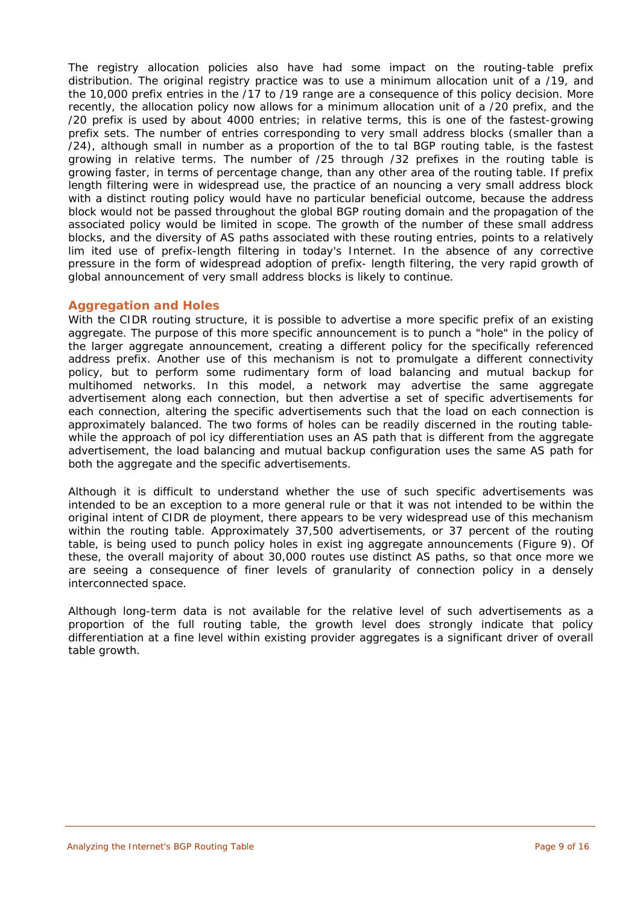The registry allocation policies also have had some impact on the routing-table prefix distribution. The original registry practice was to use a minimum allocation unit of a /19, and the 10,000 prefix entries in the /17 to /19 range are a consequence of this policy decision. More recently, the allocation policy now allows for a minimum allocation unit of a /20 prefix, and the /20 prefix is used by about 4000 entries; in relative terms, this is one of the fastest-growing prefix sets. The number of entries corresponding to very small address blocks (smaller than a /24), although small in number as a proportion of the to tal BGP routing table, is the fastest growing in relative terms. The number of /25 through /32 prefixes in the routing table is growing faster, in terms of percentage change, than any other area of the routing table. If prefix length filtering were in widespread use, the practice of an nouncing a very small address block with a distinct routing policy would have no particular beneficial outcome, because the address block would not be passed throughout the global BGP routing domain and the propagation of the associated policy would be limited in scope. The growth of the number of these small address blocks, and the diversity of AS paths associated with these routing entries, points to a relatively lim ited use of prefix-length filtering in today's Internet. In the absence of any corrective pressure in the form of widespread adoption of prefix- length filtering, the very rapid growth of global announcement of very small address blocks is likely to continue.

# **Aggregation and Holes**

With the CIDR routing structure, it is possible to advertise a more specific prefix of an existing aggregate. The purpose of this more specific announcement is to punch a "hole" in the policy of the larger aggregate announcement, creating a different policy for the specifically referenced address prefix. Another use of this mechanism is not to promulgate a different connectivity policy, but to perform some rudimentary form of load balancing and mutual backup for multihomed networks. In this model, a network may advertise the same aggregate advertisement along each connection, but then advertise a set of specific advertisements for each connection, altering the specific advertisements such that the load on each connection is approximately balanced. The two forms of holes can be readily discerned in the routing tablewhile the approach of pol icy differentiation uses an AS path that is different from the aggregate advertisement, the load balancing and mutual backup configuration uses the same AS path for both the aggregate and the specific advertisements.

Although it is difficult to understand whether the use of such specific advertisements was intended to be an exception to a more general rule or that it was not intended to be within the original intent of CIDR de ployment, there appears to be very widespread use of this mechanism within the routing table. Approximately 37,500 advertisements, or 37 percent of the routing table, is being used to punch policy holes in exist ing aggregate announcements (Figure 9). Of these, the overall majority of about 30,000 routes use distinct AS paths, so that once more we are seeing a consequence of finer levels of granularity of connection policy in a densely interconnected space.

Although long-term data is not available for the relative level of such advertisements as a proportion of the full routing table, the growth level does strongly indicate that policy differentiation at a fine level within existing provider aggregates is a significant driver of overall table growth.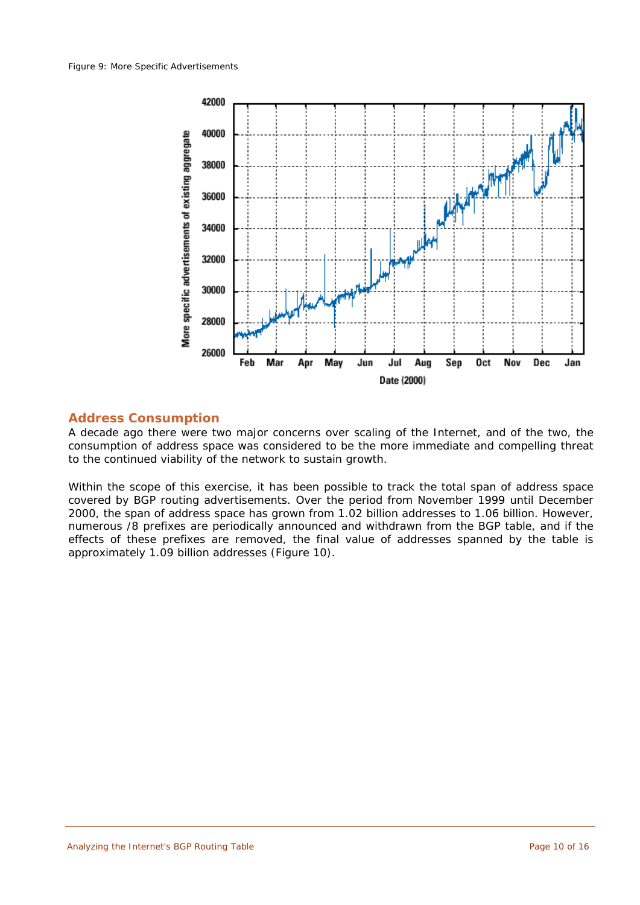

## **Address Consumption**

A decade ago there were two major concerns over scaling of the Internet, and of the two, the consumption of address space was considered to be the more immediate and compelling threat to the continued viability of the network to sustain growth.

Within the scope of this exercise, it has been possible to track the total span of address space covered by BGP routing advertisements. Over the period from November 1999 until December 2000, the span of address space has grown from 1.02 billion addresses to 1.06 billion. However, numerous /8 prefixes are periodically announced and withdrawn from the BGP table, and if the effects of these prefixes are removed, the final value of addresses spanned by the table is approximately 1.09 billion addresses (Figure 10).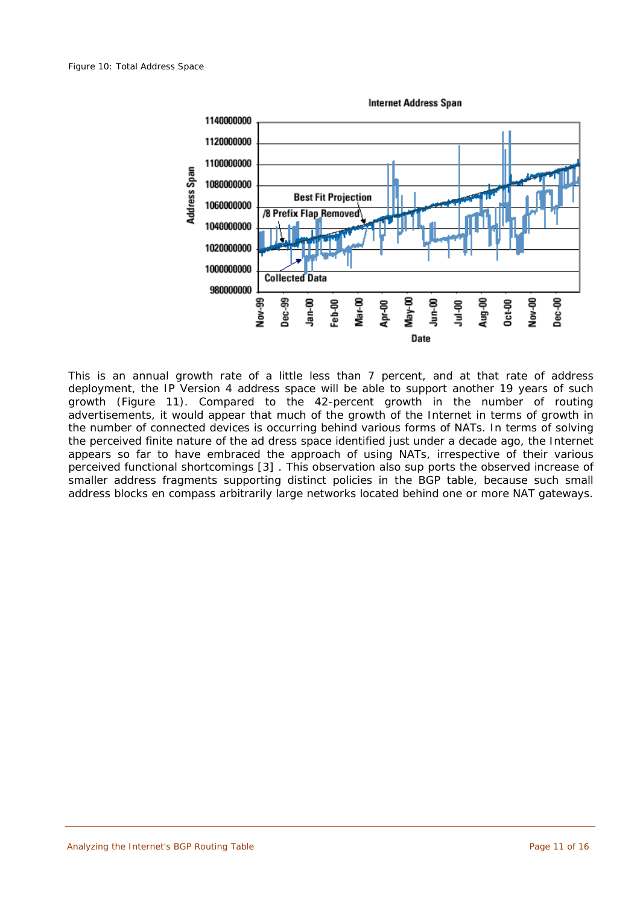

This is an annual growth rate of a little less than 7 percent, and at that rate of address deployment, the IP Version 4 address space will be able to support another 19 years of such growth (Figure 11). Compared to the 42-percent growth in the number of routing advertisements, it would appear that much of the growth of the Internet in terms of growth in the number of connected devices is occurring behind various forms of NATs. In terms of solving the perceived finite nature of the ad dress space identified just under a decade ago, the Internet appears so far to have embraced the approach of using NATs, irrespective of their various perceived functional shortcomings [3] . This observation also sup ports the observed increase of smaller address fragments supporting distinct policies in the BGP table, because such small address blocks en compass arbitrarily large networks located behind one or more NAT gateways.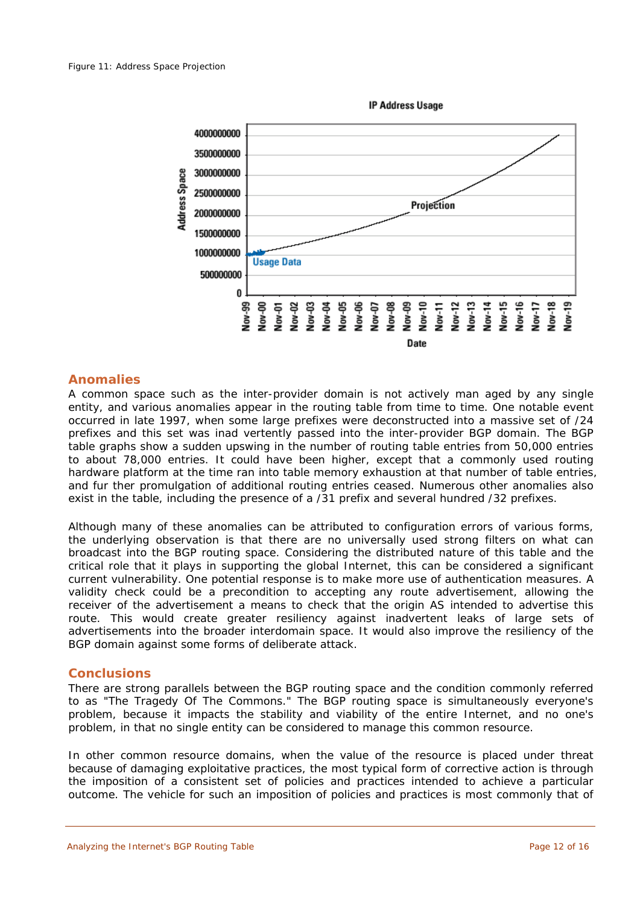

#### **Anomalies**

A common space such as the inter-provider domain is not actively man aged by any single entity, and various anomalies appear in the routing table from time to time. One notable event occurred in late 1997, when some large prefixes were deconstructed into a massive set of /24 prefixes and this set was inad vertently passed into the inter-provider BGP domain. The BGP table graphs show a sudden upswing in the number of routing table entries from 50,000 entries to about 78,000 entries. It could have been higher, except that a commonly used routing hardware platform at the time ran into table memory exhaustion at that number of table entries, and fur ther promulgation of additional routing entries ceased. Numerous other anomalies also exist in the table, including the presence of a /31 prefix and several hundred /32 prefixes.

Although many of these anomalies can be attributed to configuration errors of various forms, the underlying observation is that there are no universally used strong filters on what can broadcast into the BGP routing space. Considering the distributed nature of this table and the critical role that it plays in supporting the global Internet, this can be considered a significant current vulnerability. One potential response is to make more use of authentication measures. A validity check could be a precondition to accepting any route advertisement, allowing the receiver of the advertisement a means to check that the origin AS intended to advertise this route. This would create greater resiliency against inadvertent leaks of large sets of advertisements into the broader interdomain space. It would also improve the resiliency of the BGP domain against some forms of deliberate attack.

#### **Conclusions**

There are strong parallels between the BGP routing space and the condition commonly referred to as "The Tragedy Of The Commons." The BGP routing space is simultaneously everyone's problem, because it impacts the stability and viability of the entire Internet, and no one's problem, in that no single entity can be considered to manage this common resource.

In other common resource domains, when the value of the resource is placed under threat because of damaging exploitative practices, the most typical form of corrective action is through the imposition of a consistent set of policies and practices intended to achieve a particular outcome. The vehicle for such an imposition of policies and practices is most commonly that of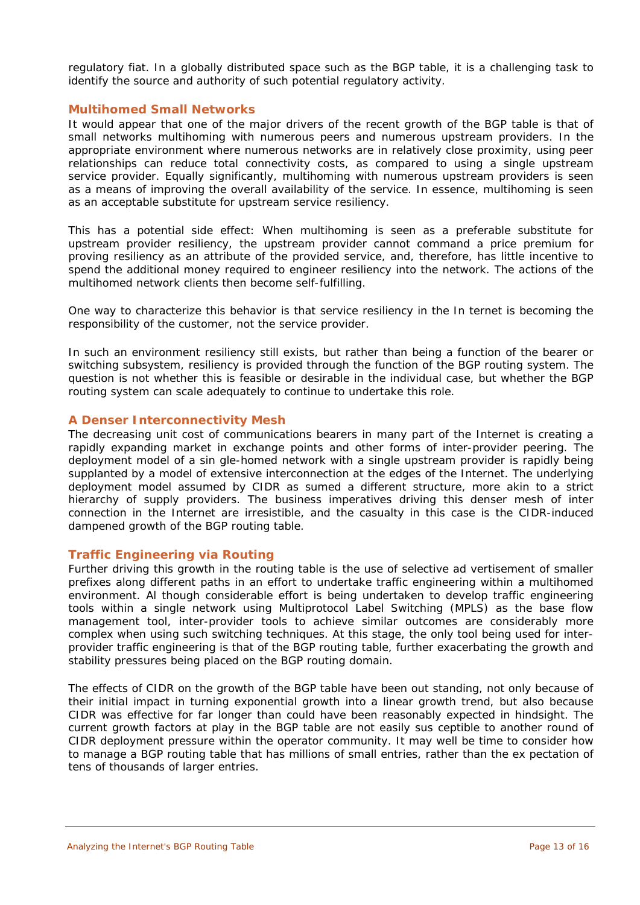regulatory fiat. In a globally distributed space such as the BGP table, it is a challenging task to identify the source and authority of such potential regulatory activity.

#### **Multihomed Small Networks**

It would appear that one of the major drivers of the recent growth of the BGP table is that of small networks multihoming with numerous peers and numerous upstream providers. In the appropriate environment where numerous networks are in relatively close proximity, using peer relationships can reduce total connectivity costs, as compared to using a single upstream service provider. Equally significantly, multihoming with numerous upstream providers is seen as a means of improving the overall availability of the service. In essence, multihoming is seen as an acceptable substitute for upstream service resiliency.

This has a potential side effect: When multihoming is seen as a preferable substitute for upstream provider resiliency, the upstream provider cannot command a price premium for proving resiliency as an attribute of the provided service, and, therefore, has little incentive to spend the additional money required to engineer resiliency into the network. The actions of the multihomed network clients then become self-fulfilling.

One way to characterize this behavior is that service resiliency in the In ternet is becoming the responsibility of the customer, not the service provider.

In such an environment resiliency still exists, but rather than being a function of the bearer or switching subsystem, resiliency is provided through the function of the BGP routing system. The question is not whether this is feasible or desirable in the individual case, but whether the BGP routing system can scale adequately to continue to undertake this role.

#### **A Denser Interconnectivity Mesh**

The decreasing unit cost of communications bearers in many part of the Internet is creating a rapidly expanding market in exchange points and other forms of inter-provider peering. The deployment model of a sin gle-homed network with a single upstream provider is rapidly being supplanted by a model of extensive interconnection at the edges of the Internet. The underlying deployment model assumed by CIDR as sumed a different structure, more akin to a strict hierarchy of supply providers. The business imperatives driving this denser mesh of inter connection in the Internet are irresistible, and the casualty in this case is the CIDR-induced dampened growth of the BGP routing table.

## **Traffic Engineering via Routing**

Further driving this growth in the routing table is the use of selective ad vertisement of smaller prefixes along different paths in an effort to undertake traffic engineering within a multihomed environment. Al though considerable effort is being undertaken to develop traffic engineering tools within a single network using Multiprotocol Label Switching (MPLS) as the base flow management tool, inter-provider tools to achieve similar outcomes are considerably more complex when using such switching techniques. At this stage, the only tool being used for interprovider traffic engineering is that of the BGP routing table, further exacerbating the growth and stability pressures being placed on the BGP routing domain.

The effects of CIDR on the growth of the BGP table have been out standing, not only because of their initial impact in turning exponential growth into a linear growth trend, but also because CIDR was effective for far longer than could have been reasonably expected in hindsight. The current growth factors at play in the BGP table are not easily sus ceptible to another round of CIDR deployment pressure within the operator community. It may well be time to consider how to manage a BGP routing table that has millions of small entries, rather than the ex pectation of tens of thousands of larger entries.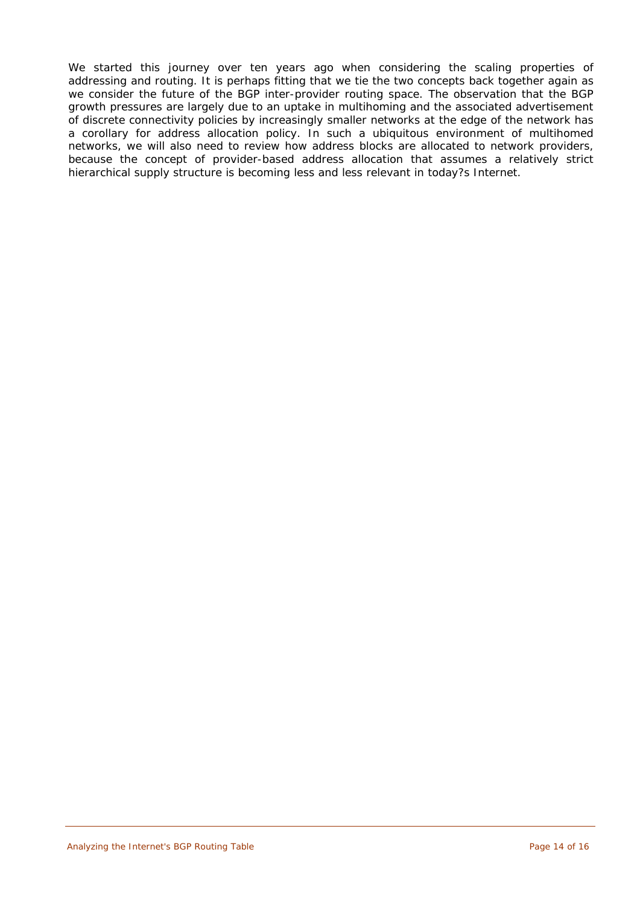We started this journey over ten years ago when considering the scaling properties of addressing and routing. It is perhaps fitting that we tie the two concepts back together again as we consider the future of the BGP inter-provider routing space. The observation that the BGP growth pressures are largely due to an uptake in multihoming and the associated advertisement of discrete connectivity policies by increasingly smaller networks at the edge of the network has a corollary for address allocation policy. In such a ubiquitous environment of multihomed networks, we will also need to review how address blocks are allocated to network providers, because the concept of provider-based address allocation that assumes a relatively strict hierarchical supply structure is becoming less and less relevant in today?s Internet.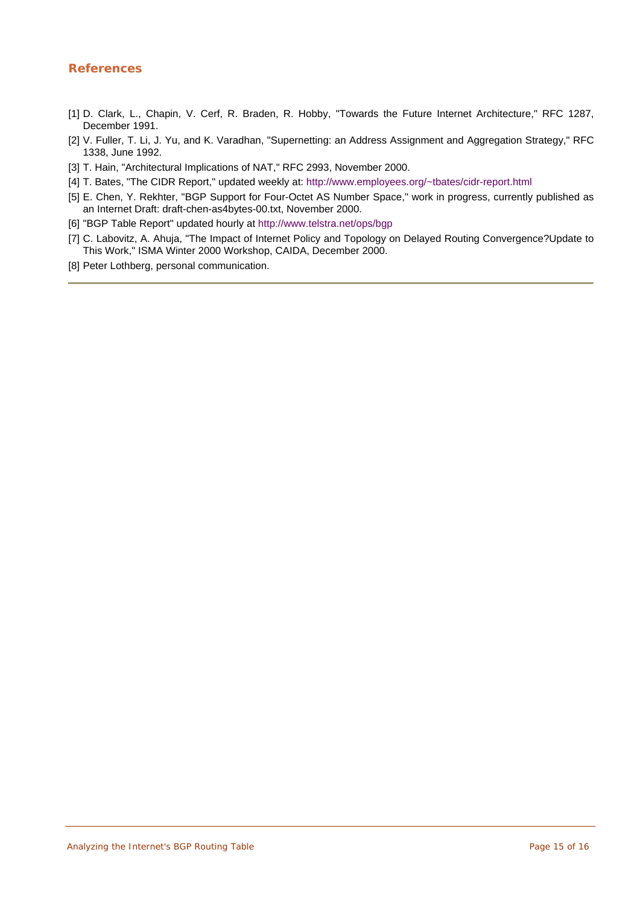# **References**

- [1] D. Clark, L., Chapin, V. Cerf, R. Braden, R. Hobby, "Towards the Future Internet Architecture," RFC 1287, December 1991.
- [2] V. Fuller, T. Li, J. Yu, and K. Varadhan, "Supernetting: an Address Assignment and Aggregation Strategy," RFC 1338, June 1992.
- [3] T. Hain, "Architectural Implications of NAT," RFC 2993, November 2000.
- [4] T. Bates, "The CIDR Report," updated weekly at: [http://www.employees.org/~tbates/cidr-report.html](http://www.employees.org/%7Etbates/cidr-report.html)
- [5] E. Chen, Y. Rekhter, "BGP Support for Four-Octet AS Number Space," work in progress, currently published as an Internet Draft: draft-chen-as4bytes-00.txt, November 2000.
- [6] "BGP Table Report" updated hourly at<http://www.telstra.net/ops/bgp>
- [7] C. Labovitz, A. Ahuja, "The Impact of Internet Policy and Topology on Delayed Routing Convergence?Update to This Work," ISMA Winter 2000 Workshop, CAIDA, December 2000.
- [8] Peter Lothberg, personal communication.